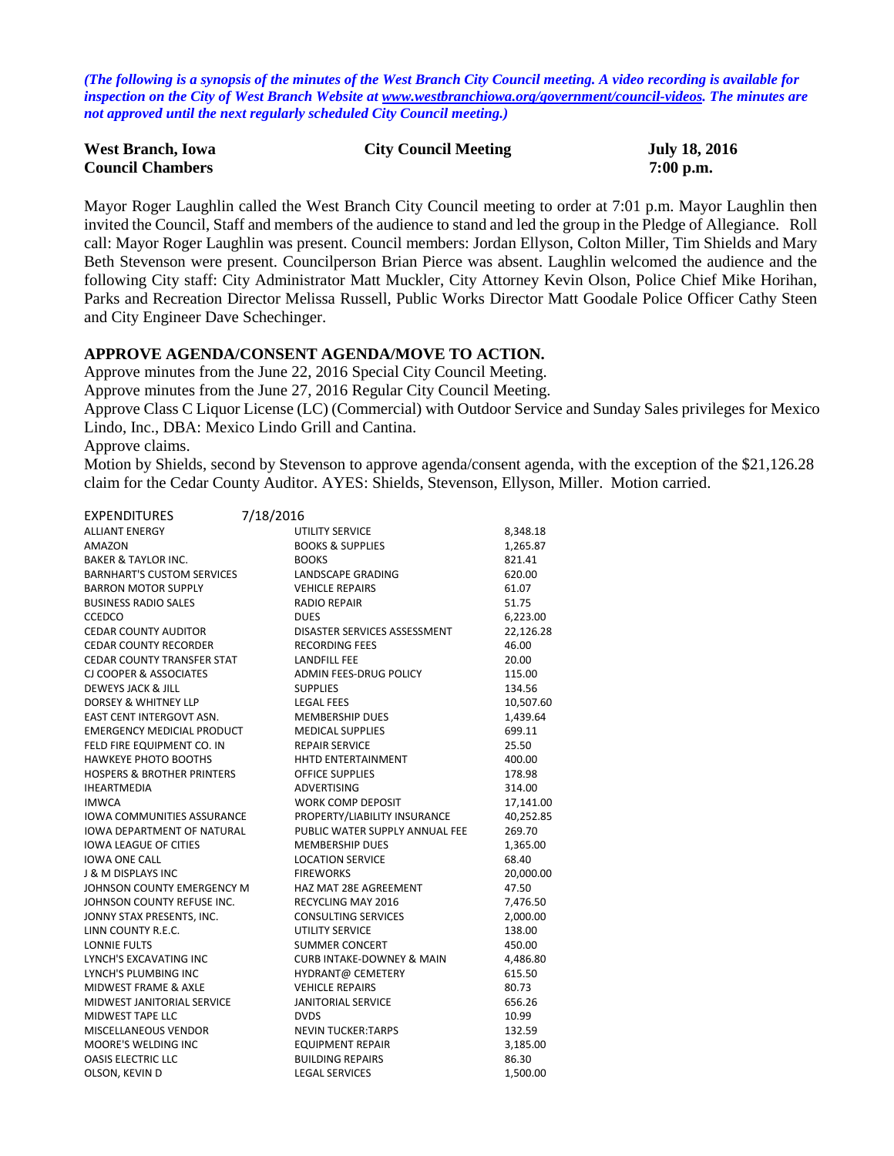*(The following is a synopsis of the minutes of the West Branch City Council meeting. A video recording is available for inspection on the City of West Branch Website at [www.westbranchiowa.org/government/council-videos.](http://www.westbranchiowa.org/government/council-videos) The minutes are not approved until the next regularly scheduled City Council meeting.)*

| <b>West Branch, Iowa</b> | <b>City Council Meeting</b> | <b>July 18, 2016</b> |
|--------------------------|-----------------------------|----------------------|
| <b>Council Chambers</b>  |                             | $7:00$ p.m.          |

Mayor Roger Laughlin called the West Branch City Council meeting to order at 7:01 p.m. Mayor Laughlin then invited the Council, Staff and members of the audience to stand and led the group in the Pledge of Allegiance. Roll call: Mayor Roger Laughlin was present. Council members: Jordan Ellyson, Colton Miller, Tim Shields and Mary Beth Stevenson were present. Councilperson Brian Pierce was absent. Laughlin welcomed the audience and the following City staff: City Administrator Matt Muckler, City Attorney Kevin Olson, Police Chief Mike Horihan, Parks and Recreation Director Melissa Russell, Public Works Director Matt Goodale Police Officer Cathy Steen and City Engineer Dave Schechinger.

### **APPROVE AGENDA/CONSENT AGENDA/MOVE TO ACTION.**

Approve minutes from the June 22, 2016 Special City Council Meeting.

Approve minutes from the June 27, 2016 Regular City Council Meeting.

Approve Class C Liquor License (LC) (Commercial) with Outdoor Service and Sunday Sales privileges for Mexico Lindo, Inc., DBA: Mexico Lindo Grill and Cantina.

Approve claims.

Motion by Shields, second by Stevenson to approve agenda/consent agenda, with the exception of the \$21,126.28 claim for the Cedar County Auditor. AYES: Shields, Stevenson, Ellyson, Miller. Motion carried.

| <b>EXPENDITURES</b>                   | 7/18/2016                            |                                |           |
|---------------------------------------|--------------------------------------|--------------------------------|-----------|
| <b>ALLIANT ENERGY</b>                 | <b>UTILITY SERVICE</b>               |                                | 8,348.18  |
| AMAZON                                | <b>BOOKS &amp; SUPPLIES</b>          |                                | 1,265.87  |
| <b>BAKER &amp; TAYLOR INC.</b>        | <b>BOOKS</b>                         |                                | 821.41    |
| <b>BARNHART'S CUSTOM SERVICES</b>     | LANDSCAPE GRADING                    |                                | 620.00    |
| <b>BARRON MOTOR SUPPLY</b>            | <b>VEHICLE REPAIRS</b>               |                                | 61.07     |
| <b>BUSINESS RADIO SALES</b>           | <b>RADIO REPAIR</b>                  |                                | 51.75     |
| <b>CCEDCO</b>                         | <b>DUES</b>                          |                                | 6,223.00  |
| <b>CEDAR COUNTY AUDITOR</b>           | DISASTER SERVICES ASSESSMENT         |                                | 22,126.28 |
| <b>CEDAR COUNTY RECORDER</b>          | <b>RECORDING FEES</b>                |                                | 46.00     |
| <b>CEDAR COUNTY TRANSFER STAT</b>     | <b>LANDFILL FEE</b>                  |                                | 20.00     |
| CJ COOPER & ASSOCIATES                | ADMIN FEES-DRUG POLICY               |                                | 115.00    |
| <b>DEWEYS JACK &amp; JILL</b>         | <b>SUPPLIES</b>                      |                                | 134.56    |
| <b>DORSEY &amp; WHITNEY LLP</b>       | <b>LEGAL FEES</b>                    |                                | 10,507.60 |
| EAST CENT INTERGOVT ASN.              | <b>MEMBERSHIP DUES</b>               |                                | 1,439.64  |
| <b>EMERGENCY MEDICIAL PRODUCT</b>     | <b>MEDICAL SUPPLIES</b>              |                                | 699.11    |
| FELD FIRE EQUIPMENT CO. IN            | <b>REPAIR SERVICE</b>                |                                | 25.50     |
| <b>HAWKEYE PHOTO BOOTHS</b>           | HHTD ENTERTAINMENT                   |                                | 400.00    |
| <b>HOSPERS &amp; BROTHER PRINTERS</b> | <b>OFFICE SUPPLIES</b>               |                                | 178.98    |
| <b>IHEARTMEDIA</b>                    | <b>ADVERTISING</b>                   |                                | 314.00    |
| <b>IMWCA</b>                          | <b>WORK COMP DEPOSIT</b>             |                                | 17,141.00 |
| <b>IOWA COMMUNITIES ASSURANCE</b>     | PROPERTY/LIABILITY INSURANCE         |                                | 40,252.85 |
| <b>IOWA DEPARTMENT OF NATURAL</b>     |                                      | PUBLIC WATER SUPPLY ANNUAL FEE | 269.70    |
| <b>IOWA LEAGUE OF CITIES</b>          | <b>MEMBERSHIP DUES</b>               |                                | 1,365.00  |
| <b>IOWA ONE CALL</b>                  | <b>LOCATION SERVICE</b>              |                                | 68.40     |
| <b>J &amp; M DISPLAYS INC</b>         | <b>FIREWORKS</b>                     |                                | 20,000.00 |
| JOHNSON COUNTY EMERGENCY M            | HAZ MAT 28E AGREEMENT                |                                | 47.50     |
| JOHNSON COUNTY REFUSE INC.            | <b>RECYCLING MAY 2016</b>            |                                | 7,476.50  |
| JONNY STAX PRESENTS. INC.             | <b>CONSULTING SERVICES</b>           |                                | 2,000.00  |
| LINN COUNTY R.E.C.                    | <b>UTILITY SERVICE</b>               |                                | 138.00    |
| <b>LONNIE FULTS</b>                   | <b>SUMMER CONCERT</b>                |                                | 450.00    |
| LYNCH'S EXCAVATING INC                | <b>CURB INTAKE-DOWNEY &amp; MAIN</b> |                                | 4,486.80  |
| LYNCH'S PLUMBING INC                  | HYDRANT@ CEMETERY                    |                                | 615.50    |
| <b>MIDWEST FRAME &amp; AXLE</b>       | <b>VEHICLE REPAIRS</b>               |                                | 80.73     |
| MIDWEST JANITORIAL SERVICE            | <b>JANITORIAL SERVICE</b>            |                                | 656.26    |
| MIDWEST TAPE LLC                      | <b>DVDS</b>                          |                                | 10.99     |
| <b>MISCELLANEOUS VENDOR</b>           | <b>NEVIN TUCKER: TARPS</b>           |                                | 132.59    |
| <b>MOORE'S WELDING INC</b>            | <b>EQUIPMENT REPAIR</b>              |                                | 3,185.00  |
| <b>OASIS ELECTRIC LLC</b>             | <b>BUILDING REPAIRS</b>              |                                | 86.30     |
| OLSON, KEVIN D                        | <b>LEGAL SERVICES</b>                |                                | 1,500.00  |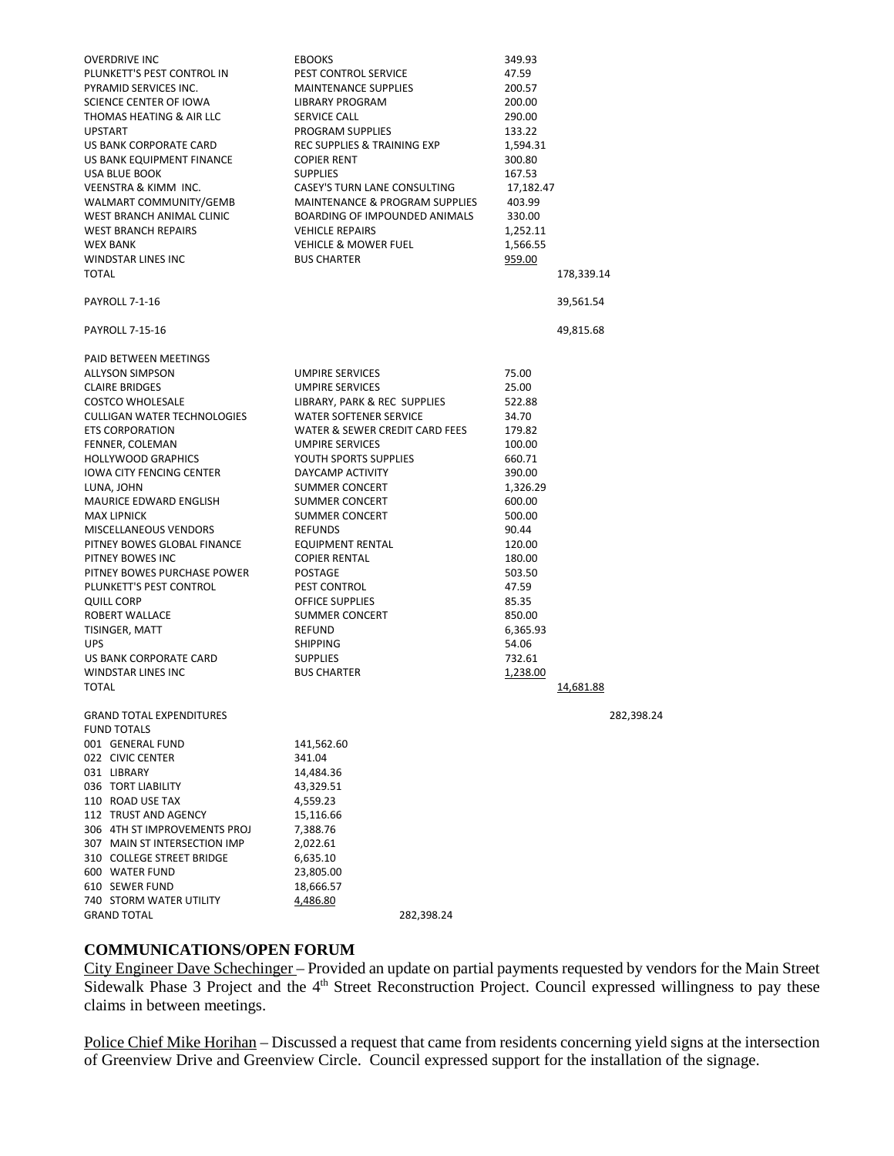| <b>OVERDRIVE INC</b><br>PLUNKETT'S PEST CONTROL IN<br>PYRAMID SERVICES INC.<br>SCIENCE CENTER OF IOWA<br>THOMAS HEATING & AIR LLC<br><b>UPSTART</b><br>US BANK CORPORATE CARD<br>US BANK EQUIPMENT FINANCE<br>USA BLUE BOOK<br>VEENSTRA & KIMM INC.<br>WALMART COMMUNITY/GEMB<br>WEST BRANCH ANIMAL CLINIC<br><b>WEST BRANCH REPAIRS</b><br><b>WEX BANK</b><br><b>WINDSTAR LINES INC</b>                                                                                                                                                                                                                        | <b>EBOOKS</b><br>PEST CONTROL SERVICE<br><b>MAINTENANCE SUPPLIES</b><br><b>LIBRARY PROGRAM</b><br>SERVICE CALL<br>PROGRAM SUPPLIES<br>REC SUPPLIES & TRAINING EXP<br><b>COPIER RENT</b><br><b>SUPPLIES</b><br>CASEY'S TURN LANE CONSULTING<br><b>MAINTENANCE &amp; PROGRAM SUPPLIES</b><br>BOARDING OF IMPOUNDED ANIMALS<br><b>VEHICLE REPAIRS</b><br><b>VEHICLE &amp; MOWER FUEL</b><br><b>BUS CHARTER</b>                                                                                                             | 349.93<br>47.59<br>200.57<br>200.00<br>290.00<br>133.22<br>1,594.31<br>300.80<br>167.53<br>17,182.47<br>403.99<br>330.00<br>1,252.11<br>1,566.55<br>959.00                                                              |                         |            |
|-----------------------------------------------------------------------------------------------------------------------------------------------------------------------------------------------------------------------------------------------------------------------------------------------------------------------------------------------------------------------------------------------------------------------------------------------------------------------------------------------------------------------------------------------------------------------------------------------------------------|-------------------------------------------------------------------------------------------------------------------------------------------------------------------------------------------------------------------------------------------------------------------------------------------------------------------------------------------------------------------------------------------------------------------------------------------------------------------------------------------------------------------------|-------------------------------------------------------------------------------------------------------------------------------------------------------------------------------------------------------------------------|-------------------------|------------|
| <b>TOTAL</b><br>PAYROLL 7-1-16                                                                                                                                                                                                                                                                                                                                                                                                                                                                                                                                                                                  |                                                                                                                                                                                                                                                                                                                                                                                                                                                                                                                         |                                                                                                                                                                                                                         | 178,339.14<br>39,561.54 |            |
|                                                                                                                                                                                                                                                                                                                                                                                                                                                                                                                                                                                                                 |                                                                                                                                                                                                                                                                                                                                                                                                                                                                                                                         |                                                                                                                                                                                                                         |                         |            |
| <b>PAYROLL 7-15-16</b>                                                                                                                                                                                                                                                                                                                                                                                                                                                                                                                                                                                          |                                                                                                                                                                                                                                                                                                                                                                                                                                                                                                                         |                                                                                                                                                                                                                         | 49,815.68               |            |
| PAID BETWEEN MEETINGS<br><b>ALLYSON SIMPSON</b><br><b>CLAIRE BRIDGES</b><br><b>COSTCO WHOLESALE</b><br><b>CULLIGAN WATER TECHNOLOGIES</b><br><b>ETS CORPORATION</b><br>FENNER, COLEMAN<br><b>HOLLYWOOD GRAPHICS</b><br><b>IOWA CITY FENCING CENTER</b><br>LUNA, JOHN<br><b>MAURICE EDWARD ENGLISH</b><br><b>MAX LIPNICK</b><br>MISCELLANEOUS VENDORS<br>PITNEY BOWES GLOBAL FINANCE<br>PITNEY BOWES INC<br>PITNEY BOWES PURCHASE POWER<br>PLUNKETT'S PEST CONTROL<br><b>QUILL CORP</b><br>ROBERT WALLACE<br>TISINGER, MATT<br><b>UPS</b><br>US BANK CORPORATE CARD<br><b>WINDSTAR LINES INC</b><br><b>TOTAL</b> | <b>UMPIRE SERVICES</b><br><b>UMPIRE SERVICES</b><br>LIBRARY, PARK & REC SUPPLIES<br><b>WATER SOFTENER SERVICE</b><br>WATER & SEWER CREDIT CARD FEES<br>UMPIRE SERVICES<br>YOUTH SPORTS SUPPLIES<br>DAYCAMP ACTIVITY<br><b>SUMMER CONCERT</b><br><b>SUMMER CONCERT</b><br><b>SUMMER CONCERT</b><br><b>REFUNDS</b><br><b>EQUIPMENT RENTAL</b><br><b>COPIER RENTAL</b><br>POSTAGE<br>PEST CONTROL<br><b>OFFICE SUPPLIES</b><br><b>SUMMER CONCERT</b><br>REFUND<br><b>SHIPPING</b><br><b>SUPPLIES</b><br><b>BUS CHARTER</b> | 75.00<br>25.00<br>522.88<br>34.70<br>179.82<br>100.00<br>660.71<br>390.00<br>1,326.29<br>600.00<br>500.00<br>90.44<br>120.00<br>180.00<br>503.50<br>47.59<br>85.35<br>850.00<br>6,365.93<br>54.06<br>732.61<br>1,238.00 | 14,681.88               |            |
| <b>GRAND TOTAL EXPENDITURES</b>                                                                                                                                                                                                                                                                                                                                                                                                                                                                                                                                                                                 |                                                                                                                                                                                                                                                                                                                                                                                                                                                                                                                         |                                                                                                                                                                                                                         |                         | 282,398.24 |
| <b>FUND TOTALS</b><br>001 GENERAL FUND<br>022 CIVIC CENTER<br>031 LIBRARY<br>036 TORT LIABILITY<br>110 ROAD USE TAX<br>112 TRUST AND AGENCY<br>306 4TH ST IMPROVEMENTS PROJ<br>307 MAIN ST INTERSECTION IMP<br>310 COLLEGE STREET BRIDGE<br>600 WATER FUND<br>610 SEWER FUND<br>740 STORM WATER UTILITY                                                                                                                                                                                                                                                                                                         | 141,562.60<br>341.04<br>14,484.36<br>43,329.51<br>4,559.23<br>15,116.66<br>7,388.76<br>2,022.61<br>6,635.10<br>23,805.00<br>18,666.57<br>4,486.80                                                                                                                                                                                                                                                                                                                                                                       |                                                                                                                                                                                                                         |                         |            |
| <b>GRAND TOTAL</b>                                                                                                                                                                                                                                                                                                                                                                                                                                                                                                                                                                                              | 282,398.24                                                                                                                                                                                                                                                                                                                                                                                                                                                                                                              |                                                                                                                                                                                                                         |                         |            |

## **COMMUNICATIONS/OPEN FORUM**

City Engineer Dave Schechinger – Provided an update on partial payments requested by vendors for the Main Street Sidewalk Phase 3 Project and the 4<sup>th</sup> Street Reconstruction Project. Council expressed willingness to pay these claims in between meetings.

Police Chief Mike Horihan – Discussed a request that came from residents concerning yield signs at the intersection of Greenview Drive and Greenview Circle. Council expressed support for the installation of the signage.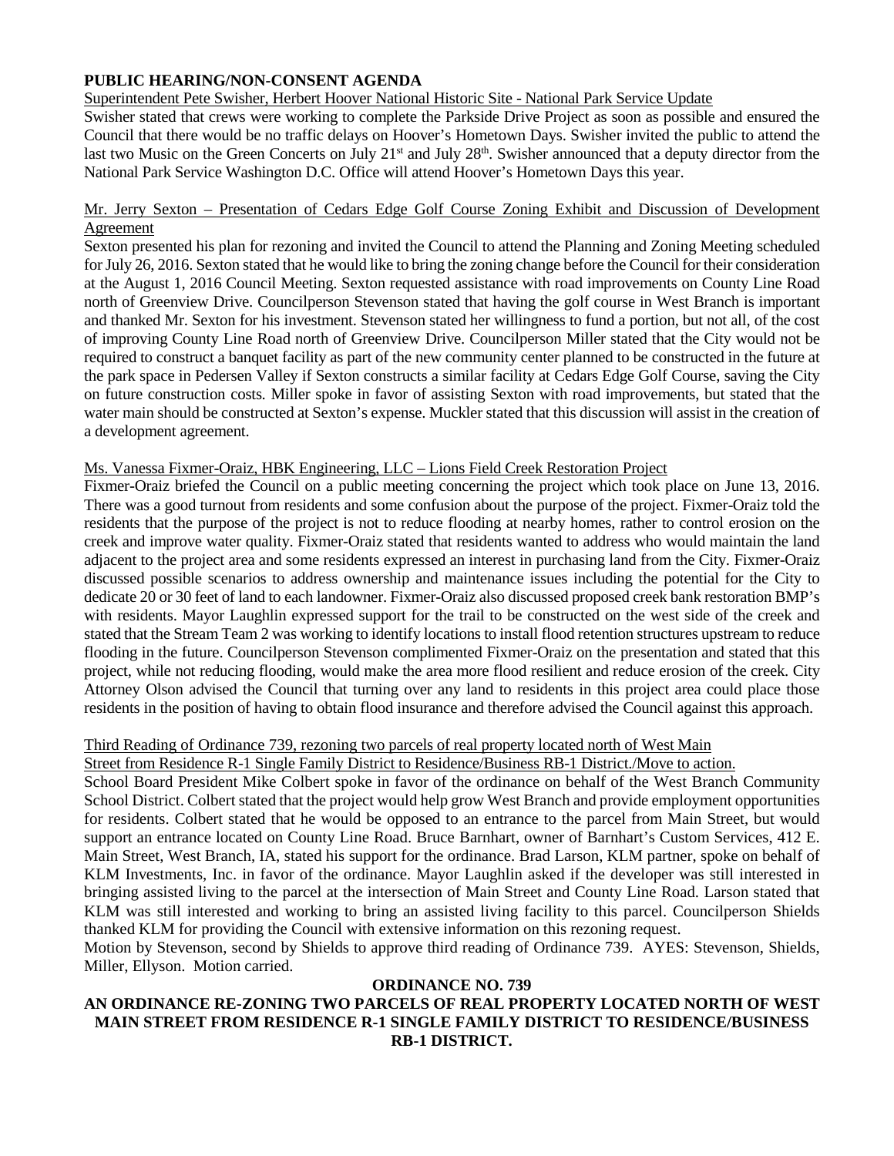### **PUBLIC HEARING/NON-CONSENT AGENDA**

Superintendent Pete Swisher, Herbert Hoover National Historic Site - National Park Service Update

Swisher stated that crews were working to complete the Parkside Drive Project as soon as possible and ensured the Council that there would be no traffic delays on Hoover's Hometown Days. Swisher invited the public to attend the last two Music on the Green Concerts on July 21<sup>st</sup> and July 28<sup>th</sup>. Swisher announced that a deputy director from the National Park Service Washington D.C. Office will attend Hoover's Hometown Days this year.

### Mr. Jerry Sexton – Presentation of Cedars Edge Golf Course Zoning Exhibit and Discussion of Development Agreement

Sexton presented his plan for rezoning and invited the Council to attend the Planning and Zoning Meeting scheduled for July 26, 2016. Sexton stated that he would like to bring the zoning change before the Council for their consideration at the August 1, 2016 Council Meeting. Sexton requested assistance with road improvements on County Line Road north of Greenview Drive. Councilperson Stevenson stated that having the golf course in West Branch is important and thanked Mr. Sexton for his investment. Stevenson stated her willingness to fund a portion, but not all, of the cost of improving County Line Road north of Greenview Drive. Councilperson Miller stated that the City would not be required to construct a banquet facility as part of the new community center planned to be constructed in the future at the park space in Pedersen Valley if Sexton constructs a similar facility at Cedars Edge Golf Course, saving the City on future construction costs. Miller spoke in favor of assisting Sexton with road improvements, but stated that the water main should be constructed at Sexton's expense. Muckler stated that this discussion will assist in the creation of a development agreement.

### Ms. Vanessa Fixmer-Oraiz, HBK Engineering, LLC – Lions Field Creek Restoration Project

Fixmer-Oraiz briefed the Council on a public meeting concerning the project which took place on June 13, 2016. There was a good turnout from residents and some confusion about the purpose of the project. Fixmer-Oraiz told the residents that the purpose of the project is not to reduce flooding at nearby homes, rather to control erosion on the creek and improve water quality. Fixmer-Oraiz stated that residents wanted to address who would maintain the land adjacent to the project area and some residents expressed an interest in purchasing land from the City. Fixmer-Oraiz discussed possible scenarios to address ownership and maintenance issues including the potential for the City to dedicate 20 or 30 feet of land to each landowner. Fixmer-Oraiz also discussed proposed creek bank restoration BMP's with residents. Mayor Laughlin expressed support for the trail to be constructed on the west side of the creek and stated that the Stream Team 2 was working to identify locations to install flood retention structures upstream to reduce flooding in the future. Councilperson Stevenson complimented Fixmer-Oraiz on the presentation and stated that this project, while not reducing flooding, would make the area more flood resilient and reduce erosion of the creek. City Attorney Olson advised the Council that turning over any land to residents in this project area could place those residents in the position of having to obtain flood insurance and therefore advised the Council against this approach.

### Third Reading of Ordinance 739, rezoning two parcels of real property located north of West Main

Street from Residence R-1 Single Family District to Residence/Business RB-1 District./Move to action.

School Board President Mike Colbert spoke in favor of the ordinance on behalf of the West Branch Community School District. Colbert stated that the project would help grow West Branch and provide employment opportunities for residents. Colbert stated that he would be opposed to an entrance to the parcel from Main Street, but would support an entrance located on County Line Road. Bruce Barnhart, owner of Barnhart's Custom Services, 412 E. Main Street, West Branch, IA, stated his support for the ordinance. Brad Larson, KLM partner, spoke on behalf of KLM Investments, Inc. in favor of the ordinance. Mayor Laughlin asked if the developer was still interested in bringing assisted living to the parcel at the intersection of Main Street and County Line Road. Larson stated that KLM was still interested and working to bring an assisted living facility to this parcel. Councilperson Shields thanked KLM for providing the Council with extensive information on this rezoning request.

Motion by Stevenson, second by Shields to approve third reading of Ordinance 739. AYES: Stevenson, Shields, Miller, Ellyson. Motion carried.

#### **ORDINANCE NO. 739**

### **AN ORDINANCE RE-ZONING TWO PARCELS OF REAL PROPERTY LOCATED NORTH OF WEST MAIN STREET FROM RESIDENCE R-1 SINGLE FAMILY DISTRICT TO RESIDENCE/BUSINESS RB-1 DISTRICT.**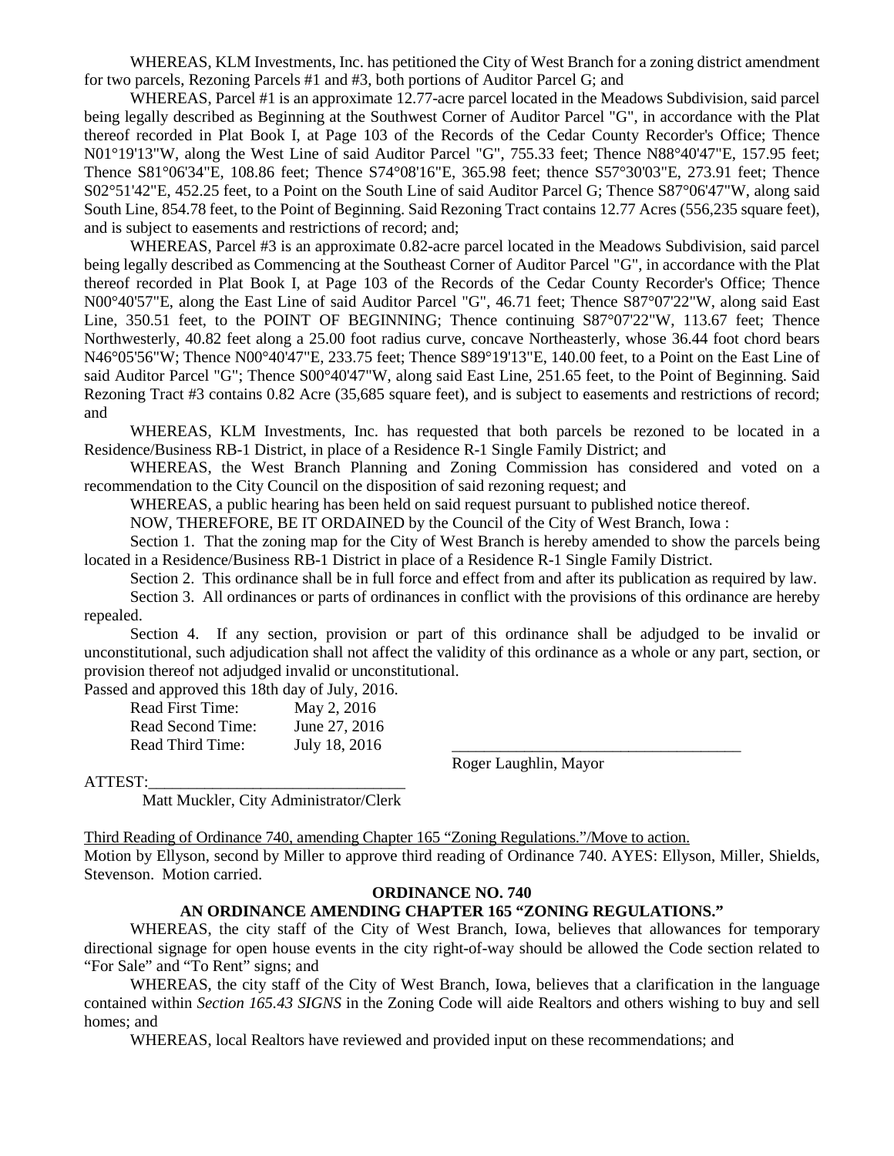WHEREAS, KLM Investments, Inc. has petitioned the City of West Branch for a zoning district amendment for two parcels, Rezoning Parcels #1 and #3, both portions of Auditor Parcel G; and

WHEREAS, Parcel #1 is an approximate 12.77-acre parcel located in the Meadows Subdivision, said parcel being legally described as Beginning at the Southwest Corner of Auditor Parcel "G", in accordance with the Plat thereof recorded in Plat Book I, at Page 103 of the Records of the Cedar County Recorder's Office; Thence N01°19'13"W, along the West Line of said Auditor Parcel "G", 755.33 feet; Thence N88°40'47"E, 157.95 feet; Thence S81°06'34"E, 108.86 feet; Thence S74°08'16"E, 365.98 feet; thence S57°30'03"E, 273.91 feet; Thence S02°51'42"E, 452.25 feet, to a Point on the South Line of said Auditor Parcel G; Thence S87°06'47"W, along said South Line, 854.78 feet, to the Point of Beginning. Said Rezoning Tract contains 12.77 Acres (556,235 square feet), and is subject to easements and restrictions of record; and;

WHEREAS, Parcel #3 is an approximate 0.82-acre parcel located in the Meadows Subdivision, said parcel being legally described as Commencing at the Southeast Corner of Auditor Parcel "G", in accordance with the Plat thereof recorded in Plat Book I, at Page 103 of the Records of the Cedar County Recorder's Office; Thence N00°40'57"E, along the East Line of said Auditor Parcel "G", 46.71 feet; Thence S87°07'22"W, along said East Line, 350.51 feet, to the POINT OF BEGINNING; Thence continuing S87°07'22"W, 113.67 feet; Thence Northwesterly, 40.82 feet along a 25.00 foot radius curve, concave Northeasterly, whose 36.44 foot chord bears N46°05'56"W; Thence N00°40'47"E, 233.75 feet; Thence S89°19'13"E, 140.00 feet, to a Point on the East Line of said Auditor Parcel "G"; Thence S00°40'47"W, along said East Line, 251.65 feet, to the Point of Beginning. Said Rezoning Tract #3 contains 0.82 Acre (35,685 square feet), and is subject to easements and restrictions of record; and

WHEREAS, KLM Investments, Inc. has requested that both parcels be rezoned to be located in a Residence/Business RB-1 District, in place of a Residence R-1 Single Family District; and

WHEREAS, the West Branch Planning and Zoning Commission has considered and voted on a recommendation to the City Council on the disposition of said rezoning request; and

WHEREAS, a public hearing has been held on said request pursuant to published notice thereof.

NOW, THEREFORE, BE IT ORDAINED by the Council of the City of West Branch, Iowa :

Section 1. That the zoning map for the City of West Branch is hereby amended to show the parcels being located in a Residence/Business RB-1 District in place of a Residence R-1 Single Family District.

Section 2. This ordinance shall be in full force and effect from and after its publication as required by law.

Section 3. All ordinances or parts of ordinances in conflict with the provisions of this ordinance are hereby repealed.

Section 4. If any section, provision or part of this ordinance shall be adjudged to be invalid or unconstitutional, such adjudication shall not affect the validity of this ordinance as a whole or any part, section, or provision thereof not adjudged invalid or unconstitutional.

Passed and approved this 18th day of July, 2016.

| Read First Time:    | May 2, 2016   |  |
|---------------------|---------------|--|
| Read Second Time: \ | June 27, 2016 |  |
| Read Third Time:    | July 18, 2016 |  |
|                     |               |  |

Roger Laughlin, Mayor

ATTEST:\_\_\_\_\_\_\_\_\_\_\_\_\_\_\_\_\_\_\_\_\_\_\_\_\_\_\_\_\_\_\_\_

Matt Muckler, City Administrator/Clerk

Third Reading of Ordinance 740, amending Chapter 165 "Zoning Regulations."/Move to action. Motion by Ellyson, second by Miller to approve third reading of Ordinance 740. AYES: Ellyson, Miller, Shields, Stevenson. Motion carried.

#### **ORDINANCE NO. 740**

#### **AN ORDINANCE AMENDING CHAPTER 165 "ZONING REGULATIONS."**

WHEREAS, the city staff of the City of West Branch, Iowa, believes that allowances for temporary directional signage for open house events in the city right-of-way should be allowed the Code section related to "For Sale" and "To Rent" signs; and

WHEREAS, the city staff of the City of West Branch, Iowa, believes that a clarification in the language contained within *Section 165.43 SIGNS* in the Zoning Code will aide Realtors and others wishing to buy and sell homes; and

WHEREAS, local Realtors have reviewed and provided input on these recommendations; and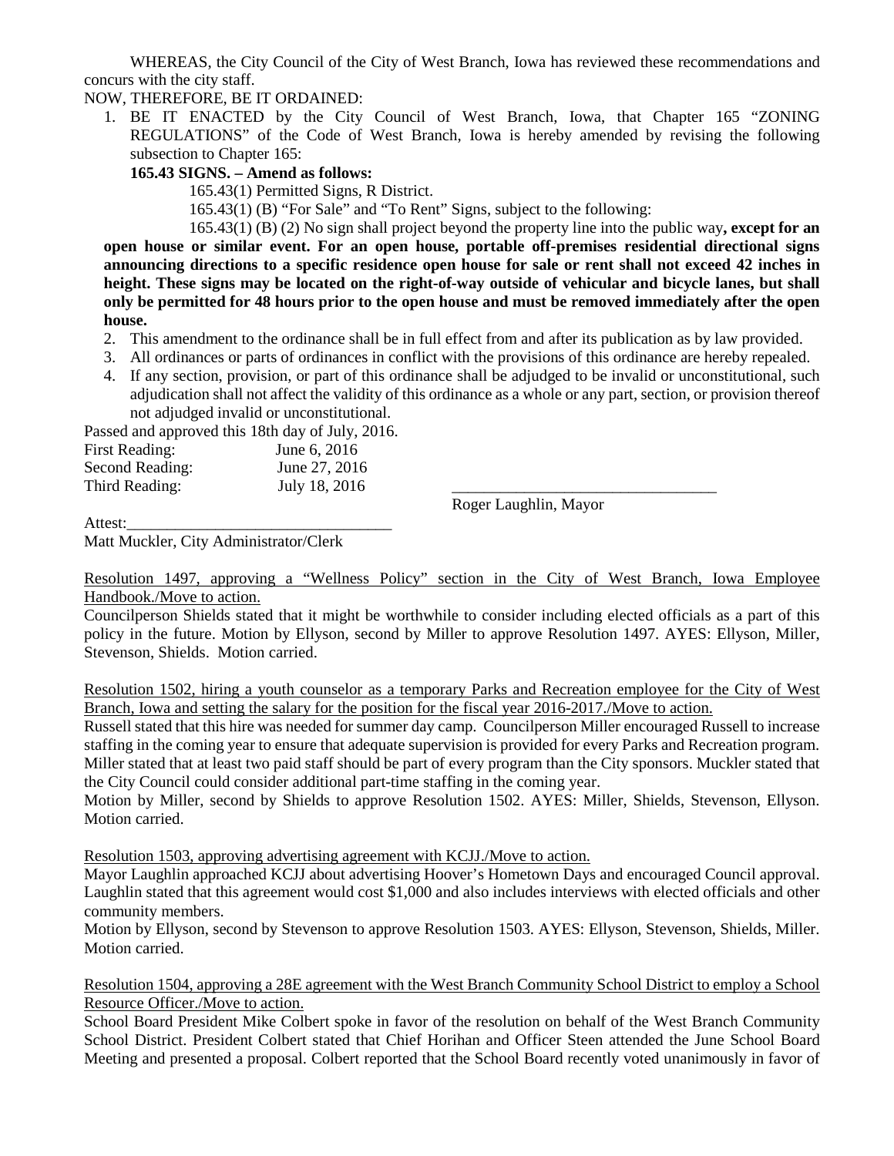WHEREAS, the City Council of the City of West Branch, Iowa has reviewed these recommendations and concurs with the city staff.

NOW, THEREFORE, BE IT ORDAINED:

1. BE IT ENACTED by the City Council of West Branch, Iowa, that Chapter 165 "ZONING REGULATIONS" of the Code of West Branch, Iowa is hereby amended by revising the following subsection to Chapter 165:

### **165.43 SIGNS. – Amend as follows:**

165.43(1) Permitted Signs, R District.

165.43(1) (B) "For Sale" and "To Rent" Signs, subject to the following:

165.43(1) (B) (2) No sign shall project beyond the property line into the public way**, except for an open house or similar event. For an open house, portable off-premises residential directional signs announcing directions to a specific residence open house for sale or rent shall not exceed 42 inches in height. These signs may be located on the right-of-way outside of vehicular and bicycle lanes, but shall only be permitted for 48 hours prior to the open house and must be removed immediately after the open house.**

- 2. This amendment to the ordinance shall be in full effect from and after its publication as by law provided.
- 3. All ordinances or parts of ordinances in conflict with the provisions of this ordinance are hereby repealed.
- 4. If any section, provision, or part of this ordinance shall be adjudged to be invalid or unconstitutional, such adjudication shall not affect the validity of this ordinance as a whole or any part, section, or provision thereof not adjudged invalid or unconstitutional.

Passed and approved this 18th day of July, 2016. First Reading: June 6, 2016 Second Reading: June 27, 2016 Third Reading: July 18, 2016

Roger Laughlin, Mayor

Attest:

Matt Muckler, City Administrator/Clerk

Resolution 1497, approving a "Wellness Policy" section in the City of West Branch, Iowa Employee Handbook./Move to action.

Councilperson Shields stated that it might be worthwhile to consider including elected officials as a part of this policy in the future. Motion by Ellyson, second by Miller to approve Resolution 1497. AYES: Ellyson, Miller, Stevenson, Shields. Motion carried.

Resolution 1502, hiring a youth counselor as a temporary Parks and Recreation employee for the City of West Branch, Iowa and setting the salary for the position for the fiscal year 2016-2017./Move to action.

Russell stated that this hire was needed for summer day camp. Councilperson Miller encouraged Russell to increase staffing in the coming year to ensure that adequate supervision is provided for every Parks and Recreation program. Miller stated that at least two paid staff should be part of every program than the City sponsors. Muckler stated that the City Council could consider additional part-time staffing in the coming year.

Motion by Miller, second by Shields to approve Resolution 1502. AYES: Miller, Shields, Stevenson, Ellyson. Motion carried.

Resolution 1503, approving advertising agreement with KCJJ./Move to action.

Mayor Laughlin approached KCJJ about advertising Hoover's Hometown Days and encouraged Council approval. Laughlin stated that this agreement would cost \$1,000 and also includes interviews with elected officials and other community members.

Motion by Ellyson, second by Stevenson to approve Resolution 1503. AYES: Ellyson, Stevenson, Shields, Miller. Motion carried.

Resolution 1504, approving a 28E agreement with the West Branch Community School District to employ a School Resource Officer./Move to action.

School Board President Mike Colbert spoke in favor of the resolution on behalf of the West Branch Community School District. President Colbert stated that Chief Horihan and Officer Steen attended the June School Board Meeting and presented a proposal. Colbert reported that the School Board recently voted unanimously in favor of